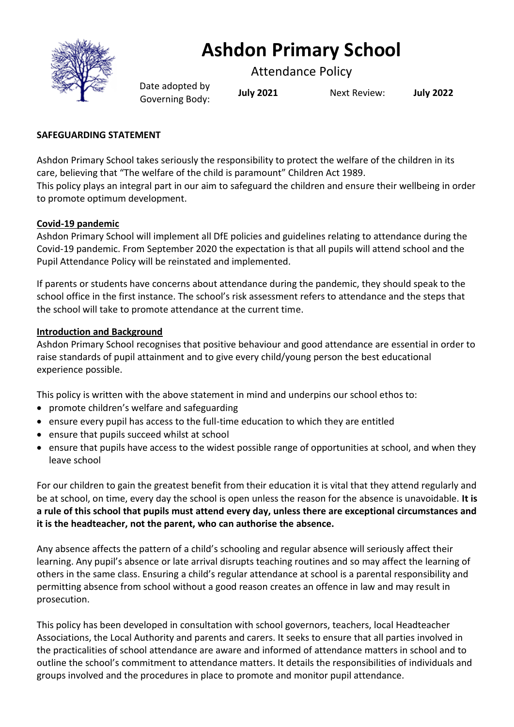

# **Ashdon Primary School**

Attendance Policy

Date adopted by Governing Body: **July <sup>2021</sup>** Next Review: **July <sup>2022</sup>**

# **SAFEGUARDING STATEMENT**

Ashdon Primary School takes seriously the responsibility to protect the welfare of the children in its care, believing that "The welfare of the child is paramount" Children Act 1989. This policy plays an integral part in our aim to safeguard the children and ensure their wellbeing in order to promote optimum development.

# **Covid-19 pandemic**

Ashdon Primary School will implement all DfE policies and guidelines relating to attendance during the Covid-19 pandemic. From September 2020 the expectation is that all pupils will attend school and the Pupil Attendance Policy will be reinstated and implemented.

If parents or students have concerns about attendance during the pandemic, they should speak to the school office in the first instance. The school's risk assessment refers to attendance and the steps that the school will take to promote attendance at the current time.

# **Introduction and Background**

Ashdon Primary School recognises that positive behaviour and good attendance are essential in order to raise standards of pupil attainment and to give every child/young person the best educational experience possible.

This policy is written with the above statement in mind and underpins our school ethos to:

- promote children's welfare and safeguarding
- ensure every pupil has access to the full-time education to which they are entitled
- ensure that pupils succeed whilst at school
- ensure that pupils have access to the widest possible range of opportunities at school, and when they leave school

For our children to gain the greatest benefit from their education it is vital that they attend regularly and be at school, on time, every day the school is open unless the reason for the absence is unavoidable. **It is a rule of this school that pupils must attend every day, unless there are exceptional circumstances and it is the headteacher, not the parent, who can authorise the absence.**

Any absence affects the pattern of a child's schooling and regular absence will seriously affect their learning. Any pupil's absence or late arrival disrupts teaching routines and so may affect the learning of others in the same class. Ensuring a child's regular attendance at school is a parental responsibility and permitting absence from school without a good reason creates an offence in law and may result in prosecution.

This policy has been developed in consultation with school governors, teachers, local Headteacher Associations, the Local Authority and parents and carers. It seeks to ensure that all parties involved in the practicalities of school attendance are aware and informed of attendance matters in school and to outline the school's commitment to attendance matters. It details the responsibilities of individuals and groups involved and the procedures in place to promote and monitor pupil attendance.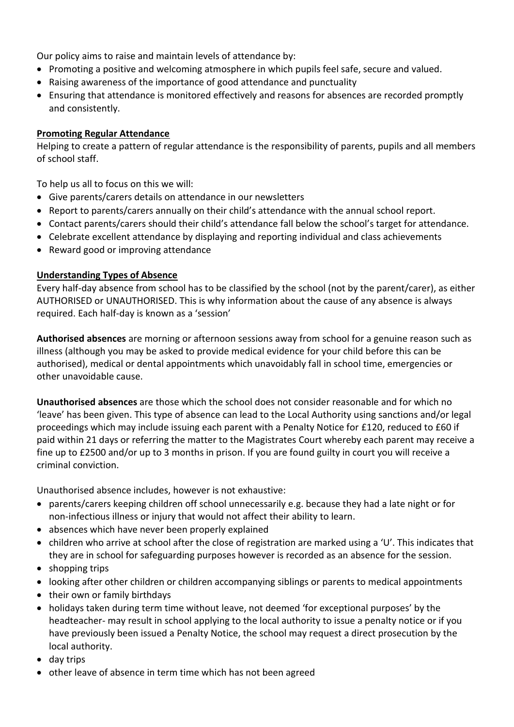Our policy aims to raise and maintain levels of attendance by:

- Promoting a positive and welcoming atmosphere in which pupils feel safe, secure and valued.
- Raising awareness of the importance of good attendance and punctuality
- Ensuring that attendance is monitored effectively and reasons for absences are recorded promptly and consistently.

## **Promoting Regular Attendance**

Helping to create a pattern of regular attendance is the responsibility of parents, pupils and all members of school staff.

To help us all to focus on this we will:

- Give parents/carers details on attendance in our newsletters
- Report to parents/carers annually on their child's attendance with the annual school report.
- Contact parents/carers should their child's attendance fall below the school's target for attendance.
- Celebrate excellent attendance by displaying and reporting individual and class achievements
- Reward good or improving attendance

## **Understanding Types of Absence**

Every half-day absence from school has to be classified by the school (not by the parent/carer), as either AUTHORISED or UNAUTHORISED. This is why information about the cause of any absence is always required. Each half-day is known as a 'session'

**Authorised absences** are morning or afternoon sessions away from school for a genuine reason such as illness (although you may be asked to provide medical evidence for your child before this can be authorised), medical or dental appointments which unavoidably fall in school time, emergencies or other unavoidable cause.

**Unauthorised absences** are those which the school does not consider reasonable and for which no 'leave' has been given. This type of absence can lead to the Local Authority using sanctions and/or legal proceedings which may include issuing each parent with a Penalty Notice for £120, reduced to £60 if paid within 21 days or referring the matter to the Magistrates Court whereby each parent may receive a fine up to £2500 and/or up to 3 months in prison. If you are found guilty in court you will receive a criminal conviction.

Unauthorised absence includes, however is not exhaustive:

- parents/carers keeping children off school unnecessarily e.g. because they had a late night or for non-infectious illness or injury that would not affect their ability to learn.
- absences which have never been properly explained
- children who arrive at school after the close of registration are marked using a 'U'. This indicates that they are in school for safeguarding purposes however is recorded as an absence for the session.
- shopping trips
- looking after other children or children accompanying siblings or parents to medical appointments
- their own or family birthdays
- holidays taken during term time without leave, not deemed 'for exceptional purposes' by the headteacher- may result in school applying to the local authority to issue a penalty notice or if you have previously been issued a Penalty Notice, the school may request a direct prosecution by the local authority.
- day trips
- other leave of absence in term time which has not been agreed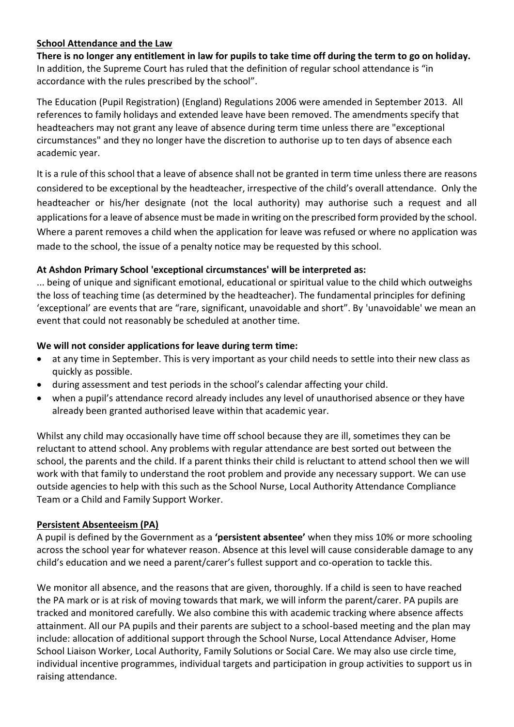# **School Attendance and the Law**

**There is no longer any entitlement in law for pupils to take time off during the term to go on holiday.** In addition, the Supreme Court has ruled that the definition of regular school attendance is "in accordance with the rules prescribed by the school".

The Education (Pupil Registration) (England) Regulations 2006 were amended in September 2013. All references to family holidays and extended leave have been removed. The amendments specify that headteachers may not grant any leave of absence during term time unless there are "exceptional circumstances" and they no longer have the discretion to authorise up to ten days of absence each academic year.

It is a rule of this school that a leave of absence shall not be granted in term time unless there are reasons considered to be exceptional by the headteacher, irrespective of the child's overall attendance. Only the headteacher or his/her designate (not the local authority) may authorise such a request and all applications for a leave of absence must be made in writing on the prescribed form provided by the school. Where a parent removes a child when the application for leave was refused or where no application was made to the school, the issue of a penalty notice may be requested by this school.

# **At Ashdon Primary School 'exceptional circumstances' will be interpreted as:**

... being of unique and significant emotional, educational or spiritual value to the child which outweighs the loss of teaching time (as determined by the headteacher). The fundamental principles for defining 'exceptional' are events that are "rare, significant, unavoidable and short". By 'unavoidable' we mean an event that could not reasonably be scheduled at another time.

# **We will not consider applications for leave during term time:**

- at any time in September. This is very important as your child needs to settle into their new class as quickly as possible.
- during assessment and test periods in the school's calendar affecting your child.
- when a pupil's attendance record already includes any level of unauthorised absence or they have already been granted authorised leave within that academic year.

Whilst any child may occasionally have time off school because they are ill, sometimes they can be reluctant to attend school. Any problems with regular attendance are best sorted out between the school, the parents and the child. If a parent thinks their child is reluctant to attend school then we will work with that family to understand the root problem and provide any necessary support. We can use outside agencies to help with this such as the School Nurse, Local Authority Attendance Compliance Team or a Child and Family Support Worker.

## **Persistent Absenteeism (PA)**

A pupil is defined by the Government as a **'persistent absentee'** when they miss 10% or more schooling across the school year for whatever reason. Absence at this level will cause considerable damage to any child's education and we need a parent/carer's fullest support and co-operation to tackle this.

We monitor all absence, and the reasons that are given, thoroughly. If a child is seen to have reached the PA mark or is at risk of moving towards that mark, we will inform the parent/carer. PA pupils are tracked and monitored carefully. We also combine this with academic tracking where absence affects attainment. All our PA pupils and their parents are subject to a school-based meeting and the plan may include: allocation of additional support through the School Nurse, Local Attendance Adviser, Home School Liaison Worker, Local Authority, Family Solutions or Social Care. We may also use circle time, individual incentive programmes, individual targets and participation in group activities to support us in raising attendance.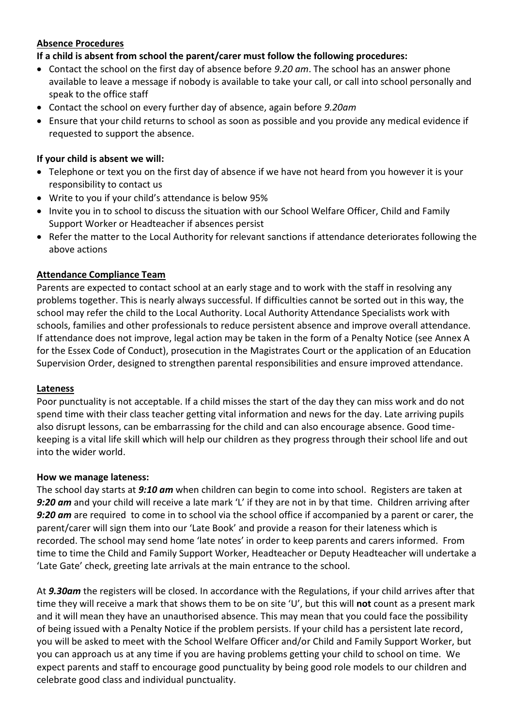# **Absence Procedures**

# **If a child is absent from school the parent/carer must follow the following procedures:**

- Contact the school on the first day of absence before *9.20 am*. The school has an answer phone available to leave a message if nobody is available to take your call, or call into school personally and speak to the office staff
- Contact the school on every further day of absence, again before *9.20am*
- Ensure that your child returns to school as soon as possible and you provide any medical evidence if requested to support the absence.

# **If your child is absent we will:**

- Telephone or text you on the first day of absence if we have not heard from you however it is your responsibility to contact us
- Write to you if your child's attendance is below 95%
- Invite you in to school to discuss the situation with our School Welfare Officer, Child and Family Support Worker or Headteacher if absences persist
- Refer the matter to the Local Authority for relevant sanctions if attendance deteriorates following the above actions

## **Attendance Compliance Team**

Parents are expected to contact school at an early stage and to work with the staff in resolving any problems together. This is nearly always successful. If difficulties cannot be sorted out in this way, the school may refer the child to the Local Authority. Local Authority Attendance Specialists work with schools, families and other professionals to reduce persistent absence and improve overall attendance. If attendance does not improve, legal action may be taken in the form of a Penalty Notice (see Annex A for the Essex Code of Conduct), prosecution in the Magistrates Court or the application of an Education Supervision Order, designed to strengthen parental responsibilities and ensure improved attendance.

## **Lateness**

Poor punctuality is not acceptable. If a child misses the start of the day they can miss work and do not spend time with their class teacher getting vital information and news for the day. Late arriving pupils also disrupt lessons, can be embarrassing for the child and can also encourage absence. Good timekeeping is a vital life skill which will help our children as they progress through their school life and out into the wider world.

## **How we manage lateness:**

The school day starts at *9:10 am* when children can begin to come into school. Registers are taken at *9:20 am* and your child will receive a late mark 'L' if they are not in by that time. Children arriving after *9:20 am* are required to come in to school via the school office if accompanied by a parent or carer, the parent/carer will sign them into our 'Late Book' and provide a reason for their lateness which is recorded. The school may send home 'late notes' in order to keep parents and carers informed. From time to time the Child and Family Support Worker, Headteacher or Deputy Headteacher will undertake a 'Late Gate' check, greeting late arrivals at the main entrance to the school.

At *9.30am* the registers will be closed. In accordance with the Regulations, if your child arrives after that time they will receive a mark that shows them to be on site 'U', but this will **not** count as a present mark and it will mean they have an unauthorised absence. This may mean that you could face the possibility of being issued with a Penalty Notice if the problem persists. If your child has a persistent late record, you will be asked to meet with the School Welfare Officer and/or Child and Family Support Worker, but you can approach us at any time if you are having problems getting your child to school on time. We expect parents and staff to encourage good punctuality by being good role models to our children and celebrate good class and individual punctuality.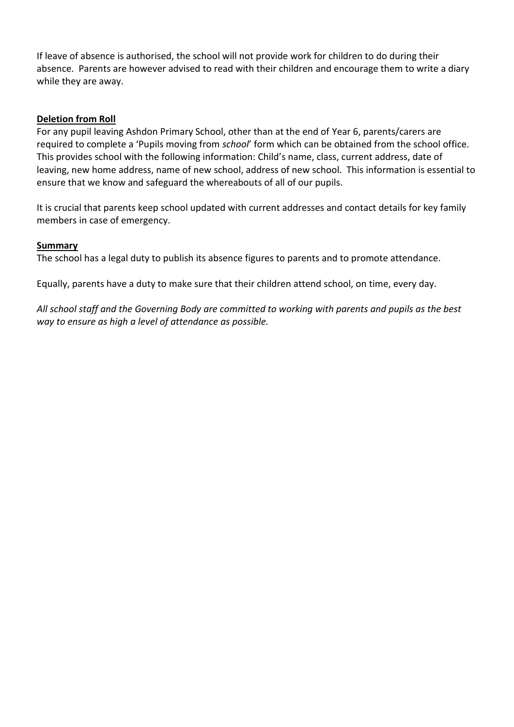If leave of absence is authorised, the school will not provide work for children to do during their absence. Parents are however advised to read with their children and encourage them to write a diary while they are away.

#### **Deletion from Roll**

For any pupil leaving Ashdon Primary School, other than at the end of Year 6, parents/carers are required to complete a 'Pupils moving from *school*' form which can be obtained from the school office. This provides school with the following information: Child's name, class, current address, date of leaving, new home address, name of new school, address of new school. This information is essential to ensure that we know and safeguard the whereabouts of all of our pupils.

It is crucial that parents keep school updated with current addresses and contact details for key family members in case of emergency.

#### **Summary**

The school has a legal duty to publish its absence figures to parents and to promote attendance.

Equally, parents have a duty to make sure that their children attend school, on time, every day.

*All school staff and the Governing Body are committed to working with parents and pupils as the best way to ensure as high a level of attendance as possible.*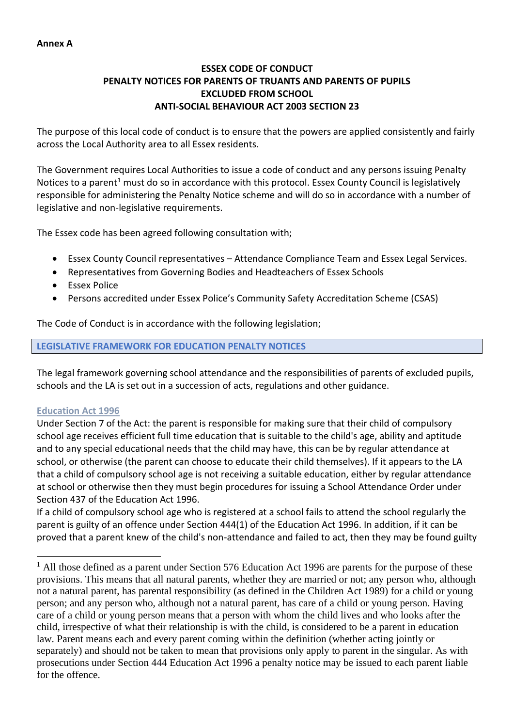# **ESSEX CODE OF CONDUCT PENALTY NOTICES FOR PARENTS OF TRUANTS AND PARENTS OF PUPILS EXCLUDED FROM SCHOOL ANTI-SOCIAL BEHAVIOUR ACT 2003 SECTION 23**

The purpose of this local code of conduct is to ensure that the powers are applied consistently and fairly across the Local Authority area to all Essex residents.

The Government requires Local Authorities to issue a code of conduct and any persons issuing Penalty Notices to a parent<sup>1</sup> must do so in accordance with this protocol. Essex County Council is legislatively responsible for administering the Penalty Notice scheme and will do so in accordance with a number of legislative and non-legislative requirements.

The Essex code has been agreed following consultation with;

- Essex County Council representatives Attendance Compliance Team and Essex Legal Services.
- Representatives from Governing Bodies and Headteachers of Essex Schools
- Essex Police
- Persons accredited under Essex Police's Community Safety Accreditation Scheme (CSAS)

The Code of Conduct is in accordance with the following legislation;

## **LEGISLATIVE FRAMEWORK FOR EDUCATION PENALTY NOTICES**

The legal framework governing school attendance and the responsibilities of parents of excluded pupils, schools and the LA is set out in a succession of acts, regulations and other guidance.

## **Education Act 1996**

Under Section 7 of the Act: the parent is responsible for making sure that their child of compulsory school age receives efficient full time education that is suitable to the child's age, ability and aptitude and to any special educational needs that the child may have, this can be by regular attendance at school, or otherwise (the parent can choose to educate their child themselves). If it appears to the LA that a child of compulsory school age is not receiving a suitable education, either by regular attendance at school or otherwise then they must begin procedures for issuing a School Attendance Order under Section 437 of the Education Act 1996.

If a child of compulsory school age who is registered at a school fails to attend the school regularly the parent is guilty of an offence under Section 444(1) of the Education Act 1996. In addition, if it can be proved that a parent knew of the child's non-attendance and failed to act, then they may be found guilty

 $<sup>1</sup>$  All those defined as a parent under Section 576 Education Act 1996 are parents for the purpose of these</sup> provisions. This means that all natural parents, whether they are married or not; any person who, although not a natural parent, has parental responsibility (as defined in the Children Act 1989) for a child or young person; and any person who, although not a natural parent, has care of a child or young person. Having care of a child or young person means that a person with whom the child lives and who looks after the child, irrespective of what their relationship is with the child, is considered to be a parent in education law. Parent means each and every parent coming within the definition (whether acting jointly or separately) and should not be taken to mean that provisions only apply to parent in the singular. As with prosecutions under Section 444 Education Act 1996 a penalty notice may be issued to each parent liable for the offence.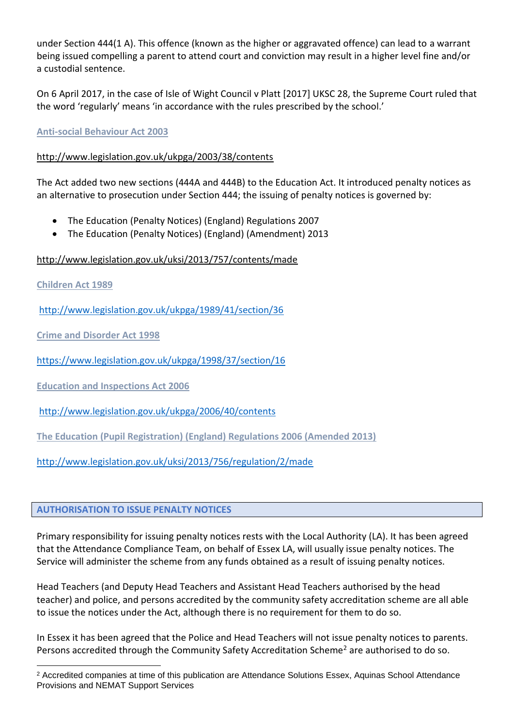under Section 444(1 A). This offence (known as the higher or aggravated offence) can lead to a warrant being issued compelling a parent to attend court and conviction may result in a higher level fine and/or a custodial sentence.

On 6 April 2017, in the case of Isle of Wight Council v Platt [2017] UKSC 28, the Supreme Court ruled that the word 'regularly' means 'in accordance with the rules prescribed by the school.'

# **Anti-social Behaviour Act 2003**

# <http://www.legislation.gov.uk/ukpga/2003/38/contents>

The Act added two new sections (444A and 444B) to the Education Act. It introduced penalty notices as an alternative to prosecution under Section 444; the issuing of penalty notices is governed by:

- The Education (Penalty Notices) (England) Regulations 2007
- The Education (Penalty Notices) (England) (Amendment) 2013

# <http://www.legislation.gov.uk/uksi/2013/757/contents/made>

**Children Act 1989** 

<http://www.legislation.gov.uk/ukpga/1989/41/section/36>

**Crime and Disorder Act 1998** 

<https://www.legislation.gov.uk/ukpga/1998/37/section/16>

**Education and Inspections Act 2006** 

<http://www.legislation.gov.uk/ukpga/2006/40/contents>

**The Education (Pupil Registration) (England) Regulations 2006 (Amended 2013)**

<http://www.legislation.gov.uk/uksi/2013/756/regulation/2/made>

## **AUTHORISATION TO ISSUE PENALTY NOTICES**

Primary responsibility for issuing penalty notices rests with the Local Authority (LA). It has been agreed that the Attendance Compliance Team, on behalf of Essex LA, will usually issue penalty notices. The Service will administer the scheme from any funds obtained as a result of issuing penalty notices.

Head Teachers (and Deputy Head Teachers and Assistant Head Teachers authorised by the head teacher) and police, and persons accredited by the community safety accreditation scheme are all able to issue the notices under the Act, although there is no requirement for them to do so.

In Essex it has been agreed that the Police and Head Teachers will not issue penalty notices to parents. Persons accredited through the Community Safety Accreditation Scheme<sup>2</sup> are authorised to do so.

<sup>2</sup> Accredited companies at time of this publication are Attendance Solutions Essex, Aquinas School Attendance Provisions and NEMAT Support Services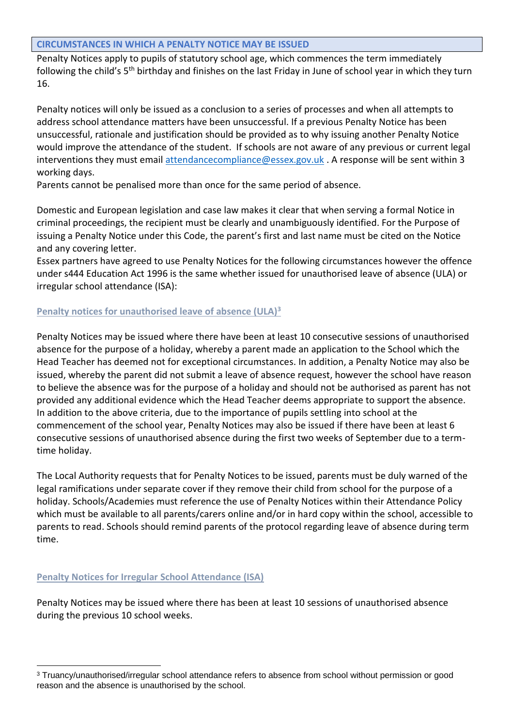#### **CIRCUMSTANCES IN WHICH A PENALTY NOTICE MAY BE ISSUED**

Penalty Notices apply to pupils of statutory school age, which commences the term immediately following the child's 5th birthday and finishes on the last Friday in June of school year in which they turn 16.

Penalty notices will only be issued as a conclusion to a series of processes and when all attempts to address school attendance matters have been unsuccessful. If a previous Penalty Notice has been unsuccessful, rationale and justification should be provided as to why issuing another Penalty Notice would improve the attendance of the student. If schools are not aware of any previous or current legal interventions they must email [attendancecompliance@essex.gov.uk](mailto:attendancecompliance@essex.gov.uk) . A response will be sent within 3 working days.

Parents cannot be penalised more than once for the same period of absence.

Domestic and European legislation and case law makes it clear that when serving a formal Notice in criminal proceedings, the recipient must be clearly and unambiguously identified. For the Purpose of issuing a Penalty Notice under this Code, the parent's first and last name must be cited on the Notice and any covering letter.

Essex partners have agreed to use Penalty Notices for the following circumstances however the offence under s444 Education Act 1996 is the same whether issued for unauthorised leave of absence (ULA) or irregular school attendance (ISA):

# **Penalty notices for unauthorised leave of absence (ULA)<sup>3</sup>**

Penalty Notices may be issued where there have been at least 10 consecutive sessions of unauthorised absence for the purpose of a holiday, whereby a parent made an application to the School which the Head Teacher has deemed not for exceptional circumstances. In addition, a Penalty Notice may also be issued, whereby the parent did not submit a leave of absence request, however the school have reason to believe the absence was for the purpose of a holiday and should not be authorised as parent has not provided any additional evidence which the Head Teacher deems appropriate to support the absence. In addition to the above criteria, due to the importance of pupils settling into school at the commencement of the school year, Penalty Notices may also be issued if there have been at least 6 consecutive sessions of unauthorised absence during the first two weeks of September due to a termtime holiday.

The Local Authority requests that for Penalty Notices to be issued, parents must be duly warned of the legal ramifications under separate cover if they remove their child from school for the purpose of a holiday. Schools/Academies must reference the use of Penalty Notices within their Attendance Policy which must be available to all parents/carers online and/or in hard copy within the school, accessible to parents to read. Schools should remind parents of the protocol regarding leave of absence during term time.

## **Penalty Notices for Irregular School Attendance (ISA)**

Penalty Notices may be issued where there has been at least 10 sessions of unauthorised absence during the previous 10 school weeks.

<sup>3</sup> Truancy/unauthorised/irregular school attendance refers to absence from school without permission or good reason and the absence is unauthorised by the school.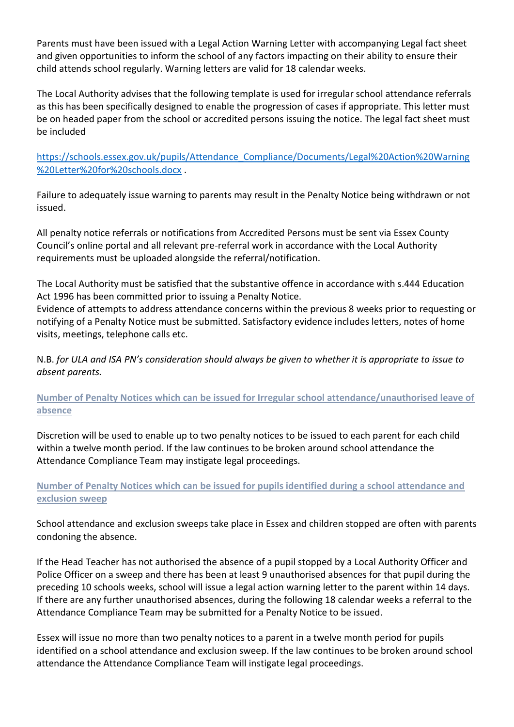Parents must have been issued with a Legal Action Warning Letter with accompanying Legal fact sheet and given opportunities to inform the school of any factors impacting on their ability to ensure their child attends school regularly. Warning letters are valid for 18 calendar weeks.

The Local Authority advises that the following template is used for irregular school attendance referrals as this has been specifically designed to enable the progression of cases if appropriate. This letter must be on headed paper from the school or accredited persons issuing the notice. The legal fact sheet must be included

[https://schools.essex.gov.uk/pupils/Attendance\\_Compliance/Documents/Legal%20Action%20Warning](https://schools.essex.gov.uk/pupils/Attendance_Compliance/Documents/Legal%20Action%20Warning%20Letter%20for%20schools.docx) [%20Letter%20for%20schools.docx](https://schools.essex.gov.uk/pupils/Attendance_Compliance/Documents/Legal%20Action%20Warning%20Letter%20for%20schools.docx) .

Failure to adequately issue warning to parents may result in the Penalty Notice being withdrawn or not issued.

All penalty notice referrals or notifications from Accredited Persons must be sent via Essex County Council's online portal and all relevant pre-referral work in accordance with the Local Authority requirements must be uploaded alongside the referral/notification.

The Local Authority must be satisfied that the substantive offence in accordance with s.444 Education Act 1996 has been committed prior to issuing a Penalty Notice.

Evidence of attempts to address attendance concerns within the previous 8 weeks prior to requesting or notifying of a Penalty Notice must be submitted. Satisfactory evidence includes letters, notes of home visits, meetings, telephone calls etc.

N.B. *for ULA and ISA PN's consideration should always be given to whether it is appropriate to issue to absent parents.*

**Number of Penalty Notices which can be issued for Irregular school attendance/unauthorised leave of absence**

Discretion will be used to enable up to two penalty notices to be issued to each parent for each child within a twelve month period. If the law continues to be broken around school attendance the Attendance Compliance Team may instigate legal proceedings.

# **Number of Penalty Notices which can be issued for pupils identified during a school attendance and exclusion sweep**

School attendance and exclusion sweeps take place in Essex and children stopped are often with parents condoning the absence.

If the Head Teacher has not authorised the absence of a pupil stopped by a Local Authority Officer and Police Officer on a sweep and there has been at least 9 unauthorised absences for that pupil during the preceding 10 schools weeks, school will issue a legal action warning letter to the parent within 14 days. If there are any further unauthorised absences, during the following 18 calendar weeks a referral to the Attendance Compliance Team may be submitted for a Penalty Notice to be issued.

Essex will issue no more than two penalty notices to a parent in a twelve month period for pupils identified on a school attendance and exclusion sweep. If the law continues to be broken around school attendance the Attendance Compliance Team will instigate legal proceedings.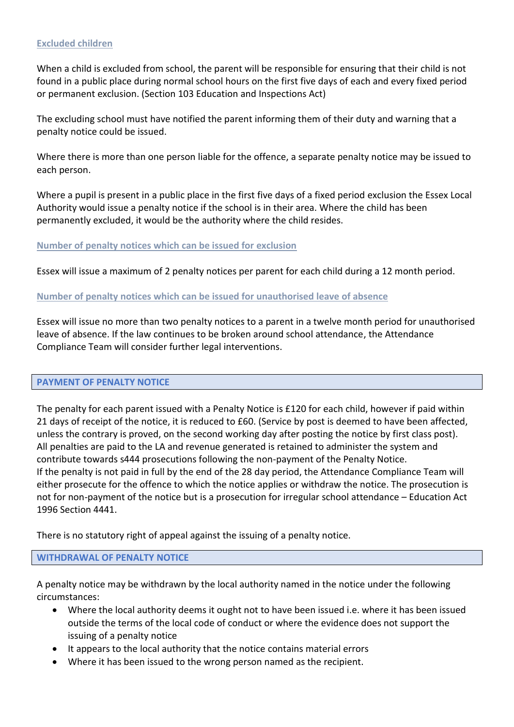#### **Excluded children**

When a child is excluded from school, the parent will be responsible for ensuring that their child is not found in a public place during normal school hours on the first five days of each and every fixed period or permanent exclusion. (Section 103 Education and Inspections Act)

The excluding school must have notified the parent informing them of their duty and warning that a penalty notice could be issued.

Where there is more than one person liable for the offence, a separate penalty notice may be issued to each person.

Where a pupil is present in a public place in the first five days of a fixed period exclusion the Essex Local Authority would issue a penalty notice if the school is in their area. Where the child has been permanently excluded, it would be the authority where the child resides.

#### **Number of penalty notices which can be issued for exclusion**

Essex will issue a maximum of 2 penalty notices per parent for each child during a 12 month period.

#### **Number of penalty notices which can be issued for unauthorised leave of absence**

Essex will issue no more than two penalty notices to a parent in a twelve month period for unauthorised leave of absence. If the law continues to be broken around school attendance, the Attendance Compliance Team will consider further legal interventions.

#### **PAYMENT OF PENALTY NOTICE**

The penalty for each parent issued with a Penalty Notice is £120 for each child, however if paid within 21 days of receipt of the notice, it is reduced to £60. (Service by post is deemed to have been affected, unless the contrary is proved, on the second working day after posting the notice by first class post). All penalties are paid to the LA and revenue generated is retained to administer the system and contribute towards s444 prosecutions following the non-payment of the Penalty Notice. If the penalty is not paid in full by the end of the 28 day period, the Attendance Compliance Team will either prosecute for the offence to which the notice applies or withdraw the notice. The prosecution is not for non-payment of the notice but is a prosecution for irregular school attendance – Education Act 1996 Section 4441.

There is no statutory right of appeal against the issuing of a penalty notice.

#### **WITHDRAWAL OF PENALTY NOTICE**

A penalty notice may be withdrawn by the local authority named in the notice under the following circumstances:

- Where the local authority deems it ought not to have been issued i.e. where it has been issued outside the terms of the local code of conduct or where the evidence does not support the issuing of a penalty notice
- It appears to the local authority that the notice contains material errors
- Where it has been issued to the wrong person named as the recipient.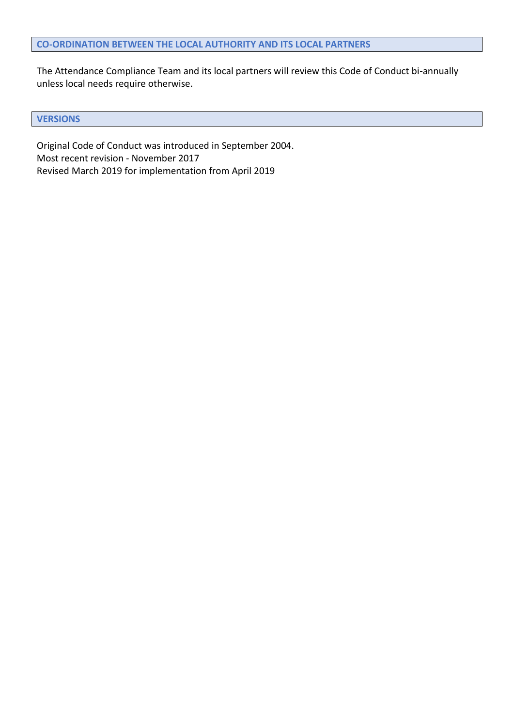The Attendance Compliance Team and its local partners will review this Code of Conduct bi-annually unless local needs require otherwise.

#### **VERSIONS**

Original Code of Conduct was introduced in September 2004. Most recent revision - November 2017 Revised March 2019 for implementation from April 2019